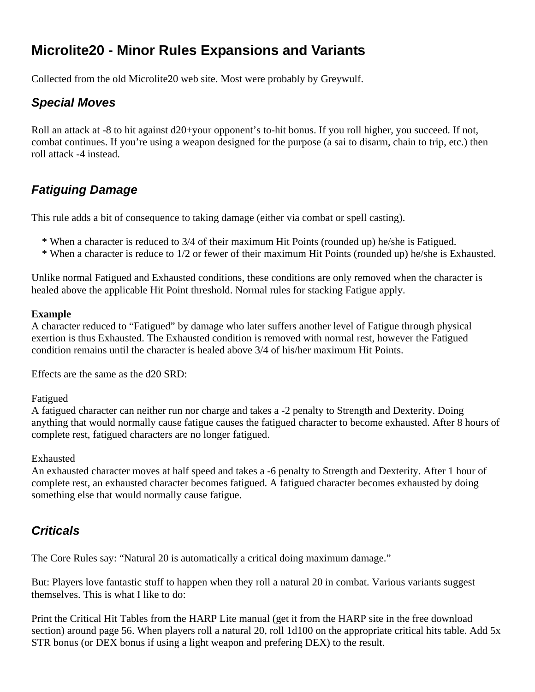# **Microlite20 - Minor Rules Expansions and Variants**

Collected from the old Microlite20 web site. Most were probably by Greywulf.

# *Special Moves*

Roll an attack at -8 to hit against d20+your opponent's to-hit bonus. If you roll higher, you succeed. If not, combat continues. If you're using a weapon designed for the purpose (a sai to disarm, chain to trip, etc.) then roll attack -4 instead.

# *Fatiguing Damage*

This rule adds a bit of consequence to taking damage (either via combat or spell casting).

- \* When a character is reduced to 3/4 of their maximum Hit Points (rounded up) he/she is Fatigued.
- \* When a character is reduce to 1/2 or fewer of their maximum Hit Points (rounded up) he/she is Exhausted.

Unlike normal Fatigued and Exhausted conditions, these conditions are only removed when the character is healed above the applicable Hit Point threshold. Normal rules for stacking Fatigue apply.

#### **Example**

A character reduced to "Fatigued" by damage who later suffers another level of Fatigue through physical exertion is thus Exhausted. The Exhausted condition is removed with normal rest, however the Fatigued condition remains until the character is healed above 3/4 of his/her maximum Hit Points.

Effects are the same as the d20 SRD:

#### Fatigued

A fatigued character can neither run nor charge and takes a -2 penalty to Strength and Dexterity. Doing anything that would normally cause fatigue causes the fatigued character to become exhausted. After 8 hours of complete rest, fatigued characters are no longer fatigued.

#### Exhausted

An exhausted character moves at half speed and takes a -6 penalty to Strength and Dexterity. After 1 hour of complete rest, an exhausted character becomes fatigued. A fatigued character becomes exhausted by doing something else that would normally cause fatigue.

# *Criticals*

The Core Rules say: "Natural 20 is automatically a critical doing maximum damage."

But: Players love fantastic stuff to happen when they roll a natural 20 in combat. Various variants suggest themselves. This is what I like to do:

Print the Critical Hit Tables from the HARP Lite manual (get it from the HARP site in the free download section) around page 56. When players roll a natural 20, roll 1d100 on the appropriate critical hits table. Add 5x STR bonus (or DEX bonus if using a light weapon and prefering DEX) to the result.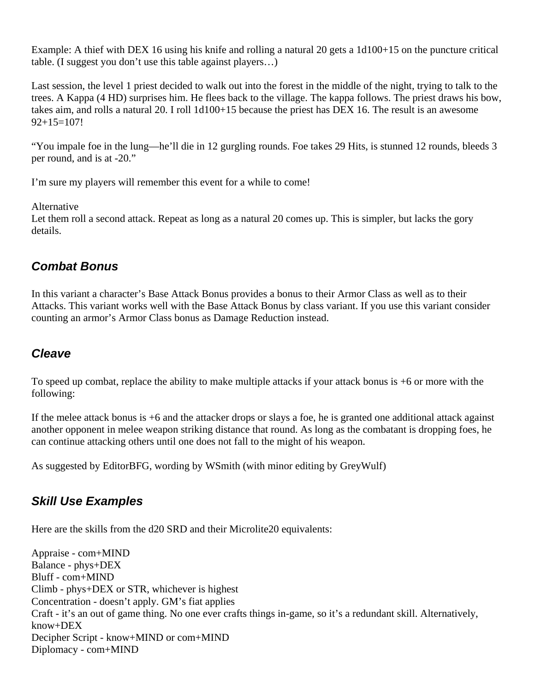Example: A thief with DEX 16 using his knife and rolling a natural 20 gets a 1d100+15 on the puncture critical table. (I suggest you don't use this table against players…)

Last session, the level 1 priest decided to walk out into the forest in the middle of the night, trying to talk to the trees. A Kappa (4 HD) surprises him. He flees back to the village. The kappa follows. The priest draws his bow, takes aim, and rolls a natural 20. I roll 1d100+15 because the priest has DEX 16. The result is an awesome  $92+15=107!$ 

"You impale foe in the lung—he'll die in 12 gurgling rounds. Foe takes 29 Hits, is stunned 12 rounds, bleeds 3 per round, and is at -20."

I'm sure my players will remember this event for a while to come!

#### Alternative

Let them roll a second attack. Repeat as long as a natural 20 comes up. This is simpler, but lacks the gory details.

## *Combat Bonus*

In this variant a character's Base Attack Bonus provides a bonus to their Armor Class as well as to their Attacks. This variant works well with the Base Attack Bonus by class variant. If you use this variant consider counting an armor's Armor Class bonus as Damage Reduction instead.

## *Cleave*

To speed up combat, replace the ability to make multiple attacks if your attack bonus is +6 or more with the following:

If the melee attack bonus is +6 and the attacker drops or slays a foe, he is granted one additional attack against another opponent in melee weapon striking distance that round. As long as the combatant is dropping foes, he can continue attacking others until one does not fall to the might of his weapon.

As suggested by EditorBFG, wording by WSmith (with minor editing by GreyWulf)

# *Skill Use Examples*

Here are the skills from the d20 SRD and their Microlite20 equivalents:

Appraise - com+MIND Balance - phys+DEX Bluff - com+MIND Climb - phys+DEX or STR, whichever is highest Concentration - doesn't apply. GM's fiat applies Craft - it's an out of game thing. No one ever crafts things in-game, so it's a redundant skill. Alternatively, know+DEX Decipher Script - know+MIND or com+MIND Diplomacy - com+MIND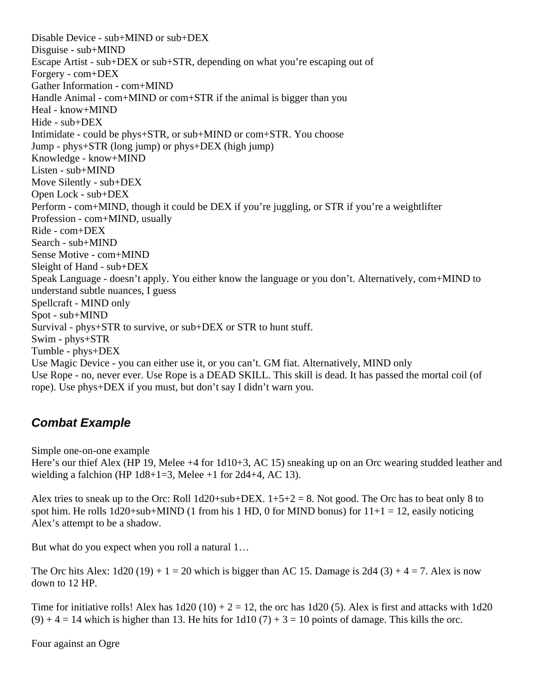Disable Device - sub+MIND or sub+DEX Disguise - sub+MIND Escape Artist - sub+DEX or sub+STR, depending on what you're escaping out of Forgery - com+DEX Gather Information - com+MIND Handle Animal - com+MIND or com+STR if the animal is bigger than you Heal - know+MIND Hide - sub+DEX Intimidate - could be phys+STR, or sub+MIND or com+STR. You choose Jump - phys+STR (long jump) or phys+DEX (high jump) Knowledge - know+MIND Listen - sub+MIND Move Silently - sub+DEX Open Lock - sub+DEX Perform - com+MIND, though it could be DEX if you're juggling, or STR if you're a weightlifter Profession - com+MIND, usually Ride - com+DEX Search - sub+MIND Sense Motive - com+MIND Sleight of Hand - sub+DEX Speak Language - doesn't apply. You either know the language or you don't. Alternatively, com+MIND to understand subtle nuances, I guess Spellcraft - MIND only Spot - sub+MIND Survival - phys+STR to survive, or sub+DEX or STR to hunt stuff. Swim - phys+STR Tumble - phys+DEX Use Magic Device - you can either use it, or you can't. GM fiat. Alternatively, MIND only Use Rope - no, never ever. Use Rope is a DEAD SKILL. This skill is dead. It has passed the mortal coil (of rope). Use phys+DEX if you must, but don't say I didn't warn you.

## *Combat Example*

Simple one-on-one example

Here's our thief Alex (HP 19, Melee +4 for 1d10+3, AC 15) sneaking up on an Orc wearing studded leather and wielding a falchion (HP  $1d8+1=3$ , Melee +1 for  $2d4+4$ , AC 13).

Alex tries to sneak up to the Orc: Roll  $1d20+sub+DEX$ .  $1+5+2=8$ . Not good. The Orc has to beat only 8 to spot him. He rolls  $1d20+sub+MIND$  (1 from his 1 HD, 0 for MIND bonus) for  $11+1 = 12$ , easily noticing Alex's attempt to be a shadow.

But what do you expect when you roll a natural 1…

The Orc hits Alex:  $1d20 (19) + 1 = 20$  which is bigger than AC 15. Damage is  $2d4 (3) + 4 = 7$ . Alex is now down to 12 HP.

Time for initiative rolls! Alex has  $1d20 (10) + 2 = 12$ , the orc has  $1d20 (5)$ . Alex is first and attacks with 1d20  $(9) + 4 = 14$  which is higher than 13. He hits for 1d10 (7) + 3 = 10 points of damage. This kills the orc.

Four against an Ogre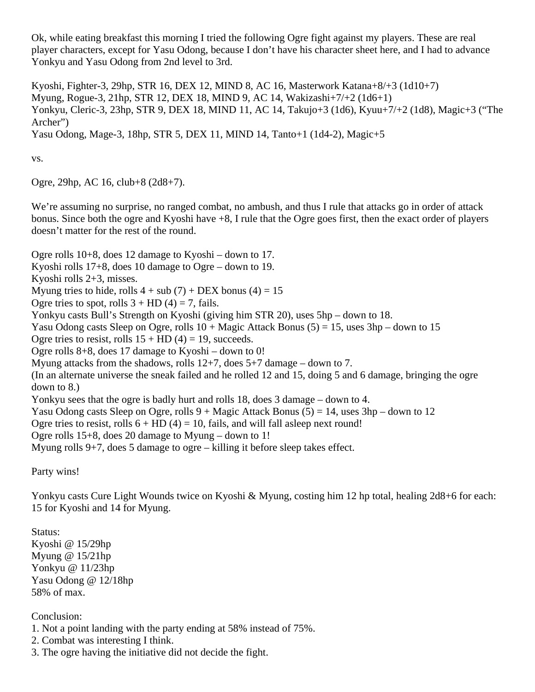Ok, while eating breakfast this morning I tried the following Ogre fight against my players. These are real player characters, except for Yasu Odong, because I don't have his character sheet here, and I had to advance Yonkyu and Yasu Odong from 2nd level to 3rd.

Kyoshi, Fighter-3, 29hp, STR 16, DEX 12, MIND 8, AC 16, Masterwork Katana+8/+3 (1d10+7) Myung, Rogue-3, 21hp, STR 12, DEX 18, MIND 9, AC 14, Wakizashi+7/+2 (1d6+1) Yonkyu, Cleric-3, 23hp, STR 9, DEX 18, MIND 11, AC 14, Takujo+3 (1d6), Kyuu+7/+2 (1d8), Magic+3 ("The Archer") Yasu Odong, Mage-3, 18hp, STR 5, DEX 11, MIND 14, Tanto+1 (1d4-2), Magic+5

vs.

Ogre, 29hp, AC 16, club+8 (2d8+7).

We're assuming no surprise, no ranged combat, no ambush, and thus I rule that attacks go in order of attack bonus. Since both the ogre and Kyoshi have +8, I rule that the Ogre goes first, then the exact order of players doesn't matter for the rest of the round.

Ogre rolls 10+8, does 12 damage to Kyoshi – down to 17. Kyoshi rolls 17+8, does 10 damage to Ogre – down to 19. Kyoshi rolls 2+3, misses. Myung tries to hide, rolls  $4 + sub(7) + DEX$  bonus  $(4) = 15$ Ogre tries to spot, rolls  $3 + HD(4) = 7$ , fails. Yonkyu casts Bull's Strength on Kyoshi (giving him STR 20), uses 5hp – down to 18. Yasu Odong casts Sleep on Ogre, rolls  $10 + \text{Magic Attack bonus}$  (5) = 15, uses  $3\text{hp} - \text{down to } 15$ Ogre tries to resist, rolls  $15 + HD$  (4) = 19, succeeds. Ogre rolls 8+8, does 17 damage to Kyoshi – down to 0! Myung attacks from the shadows, rolls 12+7, does 5+7 damage – down to 7. (In an alternate universe the sneak failed and he rolled 12 and 15, doing 5 and 6 damage, bringing the ogre down to 8.) Yonkyu sees that the ogre is badly hurt and rolls 18, does 3 damage – down to 4. Yasu Odong casts Sleep on Ogre, rolls  $9 +$  Magic Attack Bonus  $(5) = 14$ , uses  $3hp$  – down to 12 Ogre tries to resist, rolls  $6 + HD(4) = 10$ , fails, and will fall asleep next round! Ogre rolls 15+8, does 20 damage to Myung – down to 1! Myung rolls 9+7, does 5 damage to ogre – killing it before sleep takes effect.

Party wins!

Yonkyu casts Cure Light Wounds twice on Kyoshi & Myung, costing him 12 hp total, healing 2d8+6 for each: 15 for Kyoshi and 14 for Myung.

Status: Kyoshi @ 15/29hp Myung @ 15/21hp Yonkyu @ 11/23hp Yasu Odong @ 12/18hp 58% of max.

Conclusion:

- 1. Not a point landing with the party ending at 58% instead of 75%.
- 2. Combat was interesting I think.
- 3. The ogre having the initiative did not decide the fight.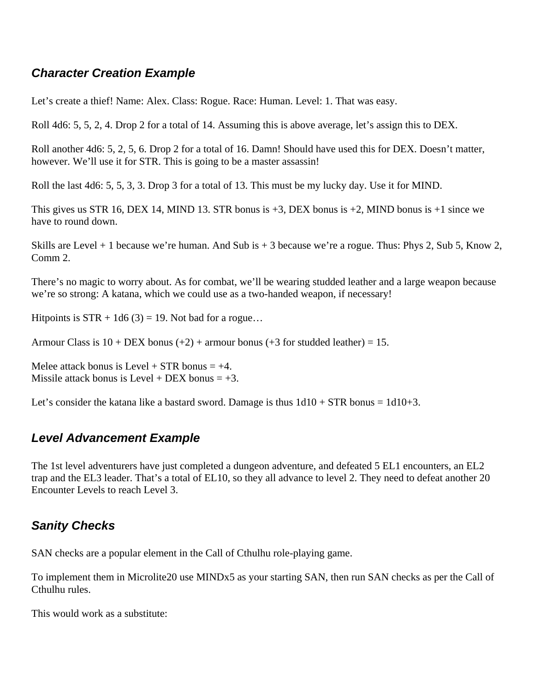# *Character Creation Example*

Let's create a thief! Name: Alex. Class: Rogue. Race: Human. Level: 1. That was easy.

Roll 4d6: 5, 5, 2, 4. Drop 2 for a total of 14. Assuming this is above average, let's assign this to DEX.

Roll another 4d6: 5, 2, 5, 6. Drop 2 for a total of 16. Damn! Should have used this for DEX. Doesn't matter, however. We'll use it for STR. This is going to be a master assassin!

Roll the last 4d6: 5, 5, 3, 3. Drop 3 for a total of 13. This must be my lucky day. Use it for MIND.

This gives us STR 16, DEX 14, MIND 13. STR bonus is  $+3$ , DEX bonus is  $+2$ , MIND bonus is  $+1$  since we have to round down.

Skills are Level + 1 because we're human. And Sub is + 3 because we're a rogue. Thus: Phys 2, Sub 5, Know 2, Comm 2.

There's no magic to worry about. As for combat, we'll be wearing studded leather and a large weapon because we're so strong: A katana, which we could use as a two-handed weapon, if necessary!

Hitpoints is  $STR + 1d6 (3) = 19$ . Not bad for a rogue...

Armour Class is  $10 + \text{DEX}$  bonus  $(+2) +$  armour bonus  $(+3)$  for studded leather) = 15.

Melee attack bonus is Level  $+$  STR bonus  $= +4$ . Missile attack bonus is Level + DEX bonus  $= +3$ .

Let's consider the katana like a bastard sword. Damage is thus  $1d10 + STR$  bonus =  $1d10+3$ .

## *Level Advancement Example*

The 1st level adventurers have just completed a dungeon adventure, and defeated 5 EL1 encounters, an EL2 trap and the EL3 leader. That's a total of EL10, so they all advance to level 2. They need to defeat another 20 Encounter Levels to reach Level 3.

## *Sanity Checks*

SAN checks are a popular element in the Call of Cthulhu role-playing game.

To implement them in Microlite20 use MINDx5 as your starting SAN, then run SAN checks as per the Call of Cthulhu rules.

This would work as a substitute: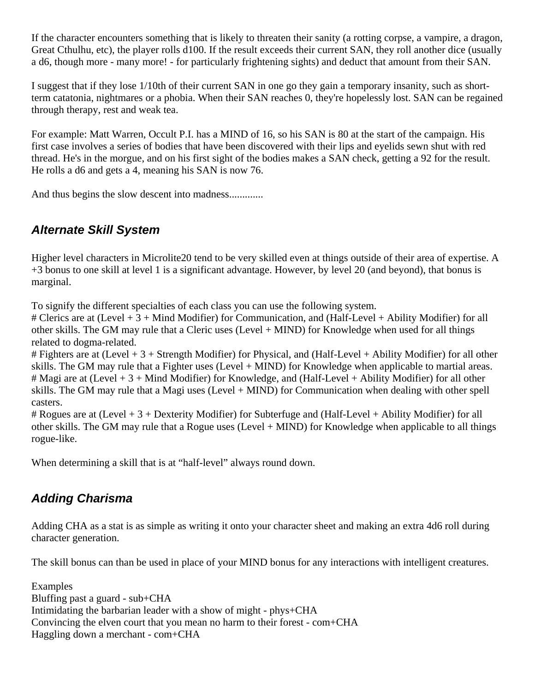If the character encounters something that is likely to threaten their sanity (a rotting corpse, a vampire, a dragon, Great Cthulhu, etc), the player rolls d100. If the result exceeds their current SAN, they roll another dice (usually a d6, though more - many more! - for particularly frightening sights) and deduct that amount from their SAN.

I suggest that if they lose 1/10th of their current SAN in one go they gain a temporary insanity, such as shortterm catatonia, nightmares or a phobia. When their SAN reaches 0, they're hopelessly lost. SAN can be regained through therapy, rest and weak tea.

For example: Matt Warren, Occult P.I. has a MIND of 16, so his SAN is 80 at the start of the campaign. His first case involves a series of bodies that have been discovered with their lips and eyelids sewn shut with red thread. He's in the morgue, and on his first sight of the bodies makes a SAN check, getting a 92 for the result. He rolls a d6 and gets a 4, meaning his SAN is now 76.

And thus begins the slow descent into madness.............

# *Alternate Skill System*

Higher level characters in Microlite20 tend to be very skilled even at things outside of their area of expertise. A +3 bonus to one skill at level 1 is a significant advantage. However, by level 20 (and beyond), that bonus is marginal.

To signify the different specialties of each class you can use the following system.

# Clerics are at (Level + 3 + Mind Modifier) for Communication, and (Half-Level + Ability Modifier) for all other skills. The GM may rule that a Cleric uses (Level + MIND) for Knowledge when used for all things related to dogma-related.

# Fighters are at (Level + 3 + Strength Modifier) for Physical, and (Half-Level + Ability Modifier) for all other skills. The GM may rule that a Fighter uses (Level + MIND) for Knowledge when applicable to martial areas. # Magi are at (Level + 3 + Mind Modifier) for Knowledge, and (Half-Level + Ability Modifier) for all other skills. The GM may rule that a Magi uses (Level + MIND) for Communication when dealing with other spell casters.

# Rogues are at (Level + 3 + Dexterity Modifier) for Subterfuge and (Half-Level + Ability Modifier) for all other skills. The GM may rule that a Rogue uses (Level + MIND) for Knowledge when applicable to all things rogue-like.

When determining a skill that is at "half-level" always round down.

# *Adding Charisma*

Adding CHA as a stat is as simple as writing it onto your character sheet and making an extra 4d6 roll during character generation.

The skill bonus can than be used in place of your MIND bonus for any interactions with intelligent creatures.

Examples Bluffing past a guard - sub+CHA Intimidating the barbarian leader with a show of might - phys+CHA Convincing the elven court that you mean no harm to their forest - com+CHA Haggling down a merchant - com+CHA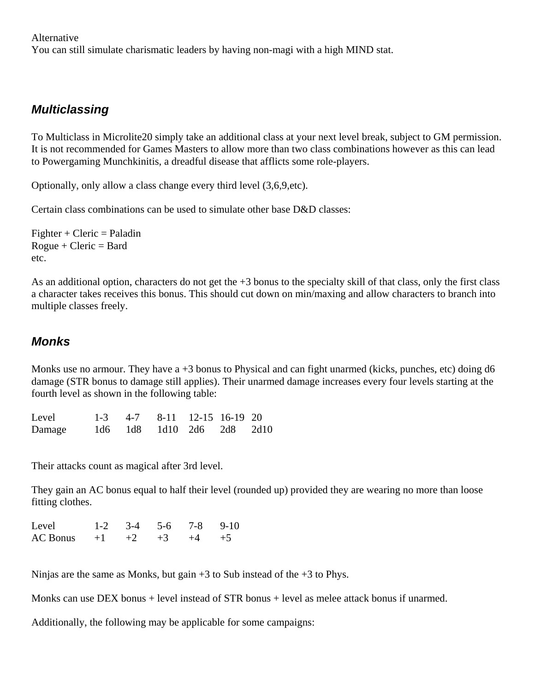Alternative

You can still simulate charismatic leaders by having non-magi with a high MIND stat.

### *Multiclassing*

To Multiclass in Microlite20 simply take an additional class at your next level break, subject to GM permission. It is not recommended for Games Masters to allow more than two class combinations however as this can lead to Powergaming Munchkinitis, a dreadful disease that afflicts some role-players.

Optionally, only allow a class change every third level (3,6,9,etc).

Certain class combinations can be used to simulate other base D&D classes:

 $Figure + Cleric = Paladin$  $Rogue + Cleric = Bard$ etc.

As an additional option, characters do not get the  $+3$  bonus to the specialty skill of that class, only the first class a character takes receives this bonus. This should cut down on min/maxing and allow characters to branch into multiple classes freely.

#### *Monks*

Monks use no armour. They have  $a + 3$  bonus to Physical and can fight unarmed (kicks, punches, etc) doing d6 damage (STR bonus to damage still applies). Their unarmed damage increases every four levels starting at the fourth level as shown in the following table:

| Level  | $1-3$ 4-7 8-11 12-15 16-19 20 |  |  |
|--------|-------------------------------|--|--|
| Damage | 1d6 1d8 1d10 2d6 2d8 2d10     |  |  |

Their attacks count as magical after 3rd level.

They gain an AC bonus equal to half their level (rounded up) provided they are wearing no more than loose fitting clothes.

| Level                             | $1-2$ $3-4$ $5-6$ $7-8$ $9-10$ |  |  |
|-----------------------------------|--------------------------------|--|--|
| AC Bonus $+1$ $+2$ $+3$ $+4$ $+5$ |                                |  |  |

Ninjas are the same as Monks, but gain  $+3$  to Sub instead of the  $+3$  to Phys.

Monks can use DEX bonus + level instead of STR bonus + level as melee attack bonus if unarmed.

Additionally, the following may be applicable for some campaigns: